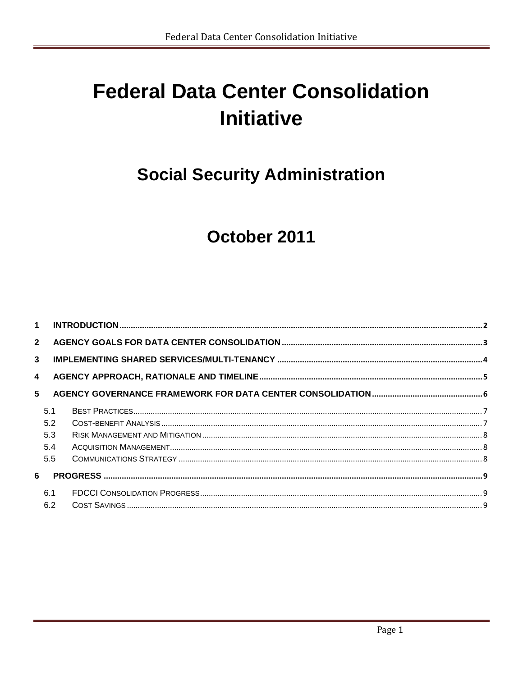# **Federal Data Center Consolidation Initiative**

## **Social Security Administration**

## October 2011

| $\mathbf 1$  |                                 |  |
|--------------|---------------------------------|--|
| $2^{\circ}$  |                                 |  |
| $\mathbf{3}$ |                                 |  |
| 4            |                                 |  |
| 5            |                                 |  |
|              | 5.1<br>5.2<br>5.3<br>5.4<br>5.5 |  |
| 6            |                                 |  |
|              | 6.1<br>6.2                      |  |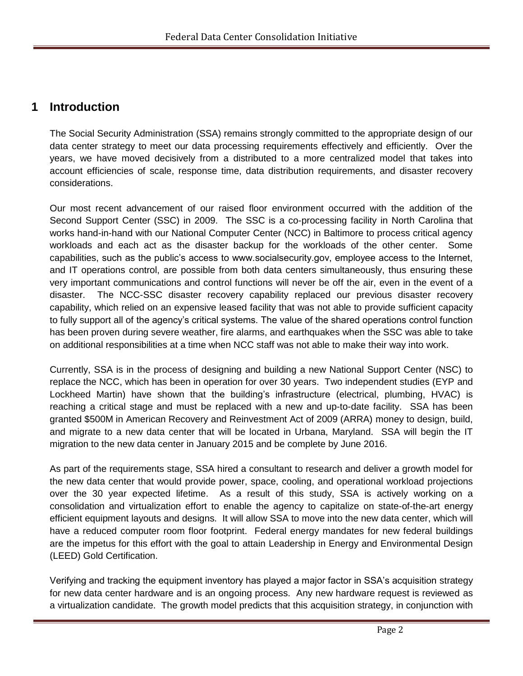### **1 Introduction**

The Social Security Administration (SSA) remains strongly committed to the appropriate design of our data center strategy to meet our data processing requirements effectively and efficiently. Over the years, we have moved decisively from a distributed to a more centralized model that takes into account efficiencies of scale, response time, data distribution requirements, and disaster recovery considerations.

Our most recent advancement of our raised floor environment occurred with the addition of the Second Support Center (SSC) in 2009. The SSC is a co-processing facility in North Carolina that works hand-in-hand with our National Computer Center (NCC) in Baltimore to process critical agency workloads and each act as the disaster backup for the workloads of the other center. Some capabilities, such as the public's access to www.socialsecurity.gov, employee access to the Internet, and IT operations control, are possible from both data centers simultaneously, thus ensuring these very important communications and control functions will never be off the air, even in the event of a disaster. The NCC-SSC disaster recovery capability replaced our previous disaster recovery capability, which relied on an expensive leased facility that was not able to provide sufficient capacity to fully support all of the agency's critical systems. The value of the shared operations control function has been proven during severe weather, fire alarms, and earthquakes when the SSC was able to take on additional responsibilities at a time when NCC staff was not able to make their way into work.

Currently, SSA is in the process of designing and building a new National Support Center (NSC) to replace the NCC, which has been in operation for over 30 years. Two independent studies (EYP and Lockheed Martin) have shown that the building's infrastructure (electrical, plumbing, HVAC) is reaching a critical stage and must be replaced with a new and up-to-date facility. SSA has been granted \$500M in American Recovery and Reinvestment Act of 2009 (ARRA) money to design, build, and migrate to a new data center that will be located in Urbana, Maryland. SSA will begin the IT migration to the new data center in January 2015 and be complete by June 2016.

As part of the requirements stage, SSA hired a consultant to research and deliver a growth model for the new data center that would provide power, space, cooling, and operational workload projections over the 30 year expected lifetime. As a result of this study, SSA is actively working on a consolidation and virtualization effort to enable the agency to capitalize on state-of-the-art energy efficient equipment layouts and designs. It will allow SSA to move into the new data center, which will have a reduced computer room floor footprint. Federal energy mandates for new federal buildings are the impetus for this effort with the goal to attain Leadership in Energy and Environmental Design (LEED) Gold Certification.

Verifying and tracking the equipment inventory has played a major factor in SSA's acquisition strategy for new data center hardware and is an ongoing process. Any new hardware request is reviewed as a virtualization candidate. The growth model predicts that this acquisition strategy, in conjunction with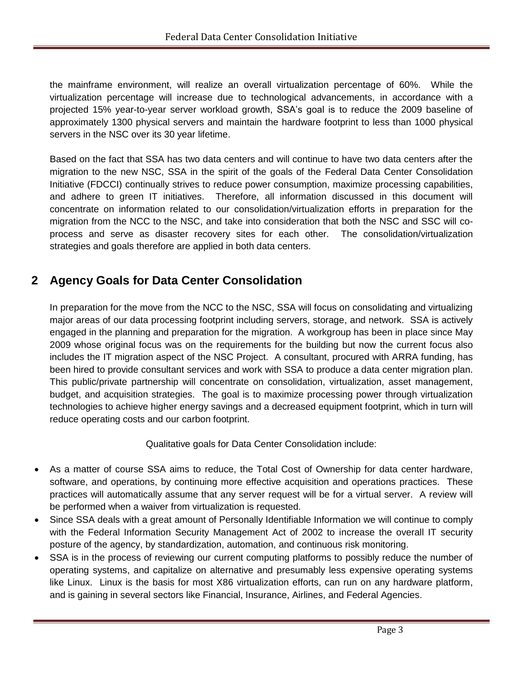the mainframe environment, will realize an overall virtualization percentage of 60%. While the virtualization percentage will increase due to technological advancements, in accordance with a projected 15% year-to-year server workload growth, SSA's goal is to reduce the 2009 baseline of approximately 1300 physical servers and maintain the hardware footprint to less than 1000 physical servers in the NSC over its 30 year lifetime.

Based on the fact that SSA has two data centers and will continue to have two data centers after the migration to the new NSC, SSA in the spirit of the goals of the Federal Data Center Consolidation Initiative (FDCCI) continually strives to reduce power consumption, maximize processing capabilities, and adhere to green IT initiatives. Therefore, all information discussed in this document will concentrate on information related to our consolidation/virtualization efforts in preparation for the migration from the NCC to the NSC, and take into consideration that both the NSC and SSC will coprocess and serve as disaster recovery sites for each other. The consolidation/virtualization strategies and goals therefore are applied in both data centers.

## **2 Agency Goals for Data Center Consolidation**

In preparation for the move from the NCC to the NSC, SSA will focus on consolidating and virtualizing major areas of our data processing footprint including servers, storage, and network. SSA is actively engaged in the planning and preparation for the migration. A workgroup has been in place since May 2009 whose original focus was on the requirements for the building but now the current focus also includes the IT migration aspect of the NSC Project. A consultant, procured with ARRA funding, has been hired to provide consultant services and work with SSA to produce a data center migration plan. This public/private partnership will concentrate on consolidation, virtualization, asset management, budget, and acquisition strategies. The goal is to maximize processing power through virtualization technologies to achieve higher energy savings and a decreased equipment footprint, which in turn will reduce operating costs and our carbon footprint.

Qualitative goals for Data Center Consolidation include:

- As a matter of course SSA aims to reduce, the Total Cost of Ownership for data center hardware, software, and operations, by continuing more effective acquisition and operations practices. These practices will automatically assume that any server request will be for a virtual server. A review will be performed when a waiver from virtualization is requested.
- Since SSA deals with a great amount of Personally Identifiable Information we will continue to comply with the Federal Information Security Management Act of 2002 to increase the overall IT security posture of the agency, by standardization, automation, and continuous risk monitoring.
- SSA is in the process of reviewing our current computing platforms to possibly reduce the number of operating systems, and capitalize on alternative and presumably less expensive operating systems like Linux. Linux is the basis for most X86 virtualization efforts, can run on any hardware platform, and is gaining in several sectors like Financial, Insurance, Airlines, and Federal Agencies.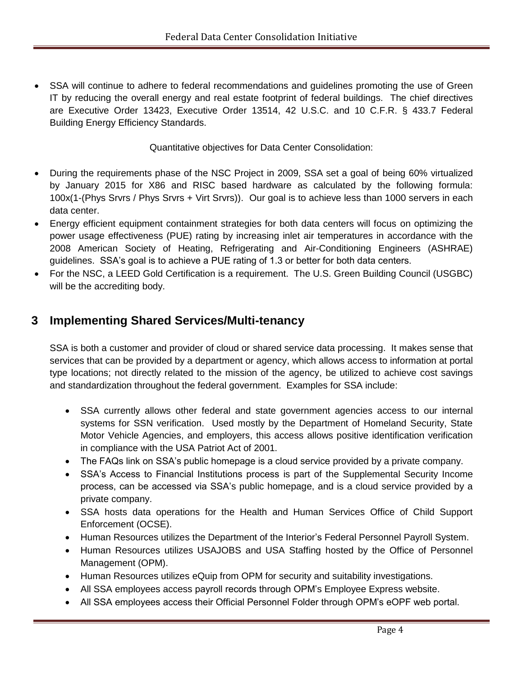SSA will continue to adhere to federal recommendations and guidelines promoting the use of Green IT by reducing the overall energy and real estate footprint of federal buildings. The chief directives are Executive Order 13423, Executive Order 13514, 42 U.S.C. and 10 C.F.R. § 433.7 Federal Building Energy Efficiency Standards.

Quantitative objectives for Data Center Consolidation:

- During the requirements phase of the NSC Project in 2009, SSA set a goal of being 60% virtualized by January 2015 for X86 and RISC based hardware as calculated by the following formula: 100x(1-(Phys Srvrs / Phys Srvrs + Virt Srvrs)). Our goal is to achieve less than 1000 servers in each data center.
- Energy efficient equipment containment strategies for both data centers will focus on optimizing the power usage effectiveness (PUE) rating by increasing inlet air temperatures in accordance with the 2008 American Society of Heating, Refrigerating and Air-Conditioning Engineers (ASHRAE) guidelines. SSA's goal is to achieve a PUE rating of 1.3 or better for both data centers.
- For the NSC, a LEED Gold Certification is a requirement. The U.S. Green Building Council (USGBC) will be the accrediting body.

## **3 Implementing Shared Services/Multi-tenancy**

SSA is both a customer and provider of cloud or shared service data processing. It makes sense that services that can be provided by a department or agency, which allows access to information at portal type locations; not directly related to the mission of the agency, be utilized to achieve cost savings and standardization throughout the federal government. Examples for SSA include:

- SSA currently allows other federal and state government agencies access to our internal systems for SSN verification. Used mostly by the Department of Homeland Security, State Motor Vehicle Agencies, and employers, this access allows positive identification verification in compliance with the USA Patriot Act of 2001.
- The FAQs link on SSA's public homepage is a cloud service provided by a private company.
- SSA's Access to Financial Institutions process is part of the Supplemental Security Income process, can be accessed via SSA's public homepage, and is a cloud service provided by a private company.
- SSA hosts data operations for the Health and Human Services Office of Child Support Enforcement (OCSE).
- Human Resources utilizes the Department of the Interior's Federal Personnel Payroll System.
- Human Resources utilizes USAJOBS and USA Staffing hosted by the Office of Personnel Management (OPM).
- Human Resources utilizes eQuip from OPM for security and suitability investigations.
- All SSA employees access payroll records through OPM's Employee Express website.
- All SSA employees access their Official Personnel Folder through OPM's eOPF web portal.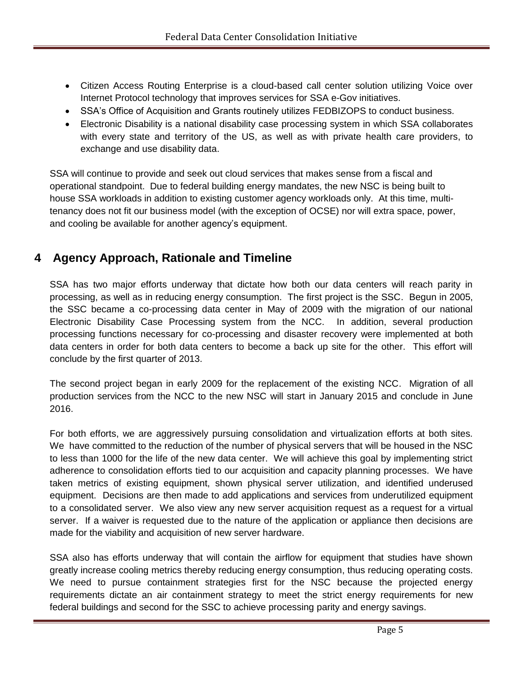- Citizen Access Routing Enterprise is a cloud-based call center solution utilizing Voice over Internet Protocol technology that improves services for SSA e-Gov initiatives.
- SSA's Office of Acquisition and Grants routinely utilizes FEDBIZOPS to conduct business.
- Electronic Disability is a national disability case processing system in which SSA collaborates with every state and territory of the US, as well as with private health care providers, to exchange and use disability data.

SSA will continue to provide and seek out cloud services that makes sense from a fiscal and operational standpoint. Due to federal building energy mandates, the new NSC is being built to house SSA workloads in addition to existing customer agency workloads only. At this time, multitenancy does not fit our business model (with the exception of OCSE) nor will extra space, power, and cooling be available for another agency's equipment.

## **4 Agency Approach, Rationale and Timeline**

SSA has two major efforts underway that dictate how both our data centers will reach parity in processing, as well as in reducing energy consumption. The first project is the SSC. Begun in 2005, the SSC became a co-processing data center in May of 2009 with the migration of our national Electronic Disability Case Processing system from the NCC. In addition, several production processing functions necessary for co-processing and disaster recovery were implemented at both data centers in order for both data centers to become a back up site for the other. This effort will conclude by the first quarter of 2013.

The second project began in early 2009 for the replacement of the existing NCC. Migration of all production services from the NCC to the new NSC will start in January 2015 and conclude in June 2016.

For both efforts, we are aggressively pursuing consolidation and virtualization efforts at both sites. We have committed to the reduction of the number of physical servers that will be housed in the NSC to less than 1000 for the life of the new data center. We will achieve this goal by implementing strict adherence to consolidation efforts tied to our acquisition and capacity planning processes. We have taken metrics of existing equipment, shown physical server utilization, and identified underused equipment. Decisions are then made to add applications and services from underutilized equipment to a consolidated server. We also view any new server acquisition request as a request for a virtual server. If a waiver is requested due to the nature of the application or appliance then decisions are made for the viability and acquisition of new server hardware.

SSA also has efforts underway that will contain the airflow for equipment that studies have shown greatly increase cooling metrics thereby reducing energy consumption, thus reducing operating costs. We need to pursue containment strategies first for the NSC because the projected energy requirements dictate an air containment strategy to meet the strict energy requirements for new federal buildings and second for the SSC to achieve processing parity and energy savings.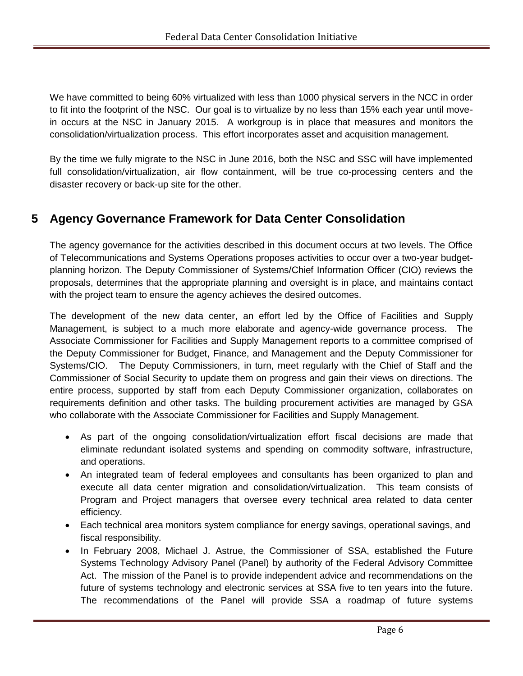We have committed to being 60% virtualized with less than 1000 physical servers in the NCC in order to fit into the footprint of the NSC. Our goal is to virtualize by no less than 15% each year until movein occurs at the NSC in January 2015. A workgroup is in place that measures and monitors the consolidation/virtualization process. This effort incorporates asset and acquisition management.

By the time we fully migrate to the NSC in June 2016, both the NSC and SSC will have implemented full consolidation/virtualization, air flow containment, will be true co-processing centers and the disaster recovery or back-up site for the other.

## **5 Agency Governance Framework for Data Center Consolidation**

The agency governance for the activities described in this document occurs at two levels. The Office of Telecommunications and Systems Operations proposes activities to occur over a two-year budgetplanning horizon. The Deputy Commissioner of Systems/Chief Information Officer (CIO) reviews the proposals, determines that the appropriate planning and oversight is in place, and maintains contact with the project team to ensure the agency achieves the desired outcomes.

The development of the new data center, an effort led by the Office of Facilities and Supply Management, is subject to a much more elaborate and agency-wide governance process. The Associate Commissioner for Facilities and Supply Management reports to a committee comprised of the Deputy Commissioner for Budget, Finance, and Management and the Deputy Commissioner for Systems/CIO. The Deputy Commissioners, in turn, meet regularly with the Chief of Staff and the Commissioner of Social Security to update them on progress and gain their views on directions. The entire process, supported by staff from each Deputy Commissioner organization, collaborates on requirements definition and other tasks. The building procurement activities are managed by GSA who collaborate with the Associate Commissioner for Facilities and Supply Management.

- As part of the ongoing consolidation/virtualization effort fiscal decisions are made that eliminate redundant isolated systems and spending on commodity software, infrastructure, and operations.
- An integrated team of federal employees and consultants has been organized to plan and execute all data center migration and consolidation/virtualization. This team consists of Program and Project managers that oversee every technical area related to data center efficiency.
- Each technical area monitors system compliance for energy savings, operational savings, and fiscal responsibility.
- In February 2008, Michael J. Astrue, the Commissioner of SSA, established the Future Systems Technology Advisory Panel (Panel) by authority of the Federal Advisory Committee Act. The mission of the Panel is to provide independent advice and recommendations on the future of systems technology and electronic services at SSA five to ten years into the future. The recommendations of the Panel will provide SSA a roadmap of future systems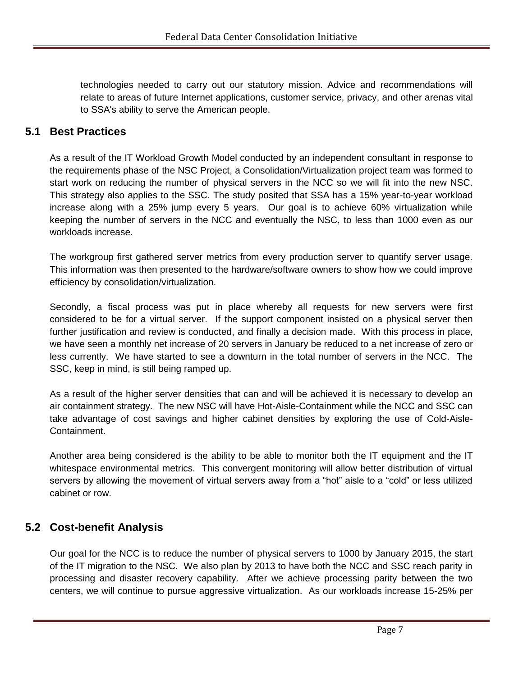technologies needed to carry out our statutory mission. Advice and recommendations will relate to areas of future Internet applications, customer service, privacy, and other arenas vital to SSA's ability to serve the American people.

#### **5.1 Best Practices**

As a result of the IT Workload Growth Model conducted by an independent consultant in response to the requirements phase of the NSC Project, a Consolidation/Virtualization project team was formed to start work on reducing the number of physical servers in the NCC so we will fit into the new NSC. This strategy also applies to the SSC. The study posited that SSA has a 15% year-to-year workload increase along with a 25% jump every 5 years. Our goal is to achieve 60% virtualization while keeping the number of servers in the NCC and eventually the NSC, to less than 1000 even as our workloads increase.

The workgroup first gathered server metrics from every production server to quantify server usage. This information was then presented to the hardware/software owners to show how we could improve efficiency by consolidation/virtualization.

Secondly, a fiscal process was put in place whereby all requests for new servers were first considered to be for a virtual server. If the support component insisted on a physical server then further justification and review is conducted, and finally a decision made. With this process in place, we have seen a monthly net increase of 20 servers in January be reduced to a net increase of zero or less currently. We have started to see a downturn in the total number of servers in the NCC. The SSC, keep in mind, is still being ramped up.

As a result of the higher server densities that can and will be achieved it is necessary to develop an air containment strategy. The new NSC will have Hot-Aisle-Containment while the NCC and SSC can take advantage of cost savings and higher cabinet densities by exploring the use of Cold-Aisle-Containment.

Another area being considered is the ability to be able to monitor both the IT equipment and the IT whitespace environmental metrics. This convergent monitoring will allow better distribution of virtual servers by allowing the movement of virtual servers away from a "hot" aisle to a "cold" or less utilized cabinet or row.

### **5.2 Cost-benefit Analysis**

Our goal for the NCC is to reduce the number of physical servers to 1000 by January 2015, the start of the IT migration to the NSC. We also plan by 2013 to have both the NCC and SSC reach parity in processing and disaster recovery capability. After we achieve processing parity between the two centers, we will continue to pursue aggressive virtualization. As our workloads increase 15-25% per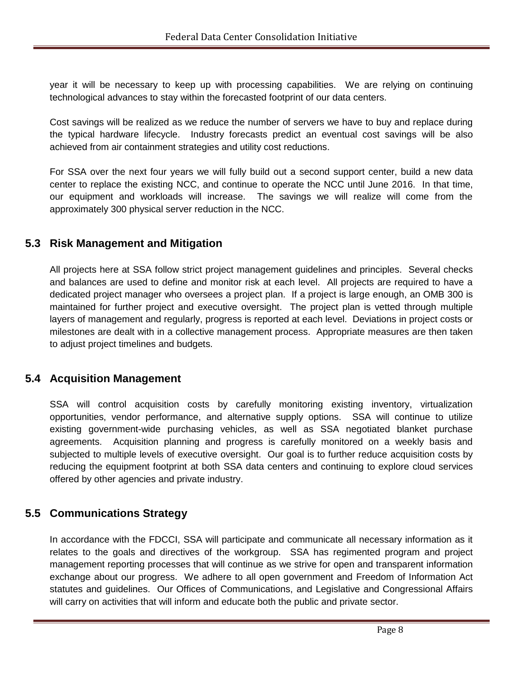year it will be necessary to keep up with processing capabilities. We are relying on continuing technological advances to stay within the forecasted footprint of our data centers.

Cost savings will be realized as we reduce the number of servers we have to buy and replace during the typical hardware lifecycle. Industry forecasts predict an eventual cost savings will be also achieved from air containment strategies and utility cost reductions.

For SSA over the next four years we will fully build out a second support center, build a new data center to replace the existing NCC, and continue to operate the NCC until June 2016. In that time, our equipment and workloads will increase. The savings we will realize will come from the approximately 300 physical server reduction in the NCC.

#### **5.3 Risk Management and Mitigation**

All projects here at SSA follow strict project management guidelines and principles. Several checks and balances are used to define and monitor risk at each level. All projects are required to have a dedicated project manager who oversees a project plan. If a project is large enough, an OMB 300 is maintained for further project and executive oversight. The project plan is vetted through multiple layers of management and regularly, progress is reported at each level. Deviations in project costs or milestones are dealt with in a collective management process. Appropriate measures are then taken to adjust project timelines and budgets.

#### **5.4 Acquisition Management**

SSA will control acquisition costs by carefully monitoring existing inventory, virtualization opportunities, vendor performance, and alternative supply options. SSA will continue to utilize existing government-wide purchasing vehicles, as well as SSA negotiated blanket purchase agreements. Acquisition planning and progress is carefully monitored on a weekly basis and subjected to multiple levels of executive oversight. Our goal is to further reduce acquisition costs by reducing the equipment footprint at both SSA data centers and continuing to explore cloud services offered by other agencies and private industry.

#### **5.5 Communications Strategy**

In accordance with the FDCCI, SSA will participate and communicate all necessary information as it relates to the goals and directives of the workgroup. SSA has regimented program and project management reporting processes that will continue as we strive for open and transparent information exchange about our progress. We adhere to all open government and Freedom of Information Act statutes and guidelines. Our Offices of Communications, and Legislative and Congressional Affairs will carry on activities that will inform and educate both the public and private sector.